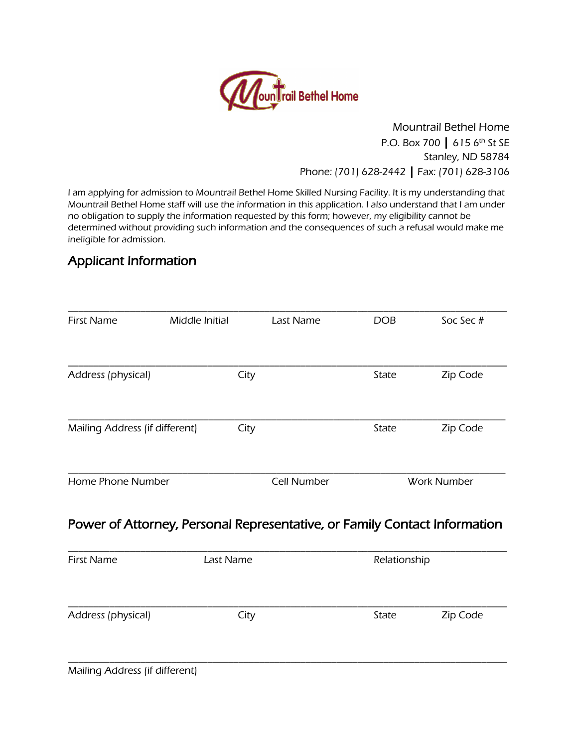

#### Mountrail Bethel Home P.O. Box 700 | 615 6<sup>th</sup> St SE Stanley, ND 58784 Phone: (701) 628-2442 | Fax: (701) 628-3106

I am applying for admission to Mountrail Bethel Home Skilled Nursing Facility. It is my understanding that Mountrail Bethel Home staff will use the information in this application. I also understand that I am under no obligation to supply the information requested by this form; however, my eligibility cannot be determined without providing such information and the consequences of such a refusal would make me ineligible for admission.

# Applicant Information

| <b>First Name</b>              | Middle Initial                                                            | Last Name          | <b>DOB</b>   | Soc Sec#           |  |
|--------------------------------|---------------------------------------------------------------------------|--------------------|--------------|--------------------|--|
| Address (physical)             | City                                                                      |                    | State        | Zip Code           |  |
| Mailing Address (if different) | City                                                                      |                    | State        | Zip Code           |  |
| Home Phone Number              |                                                                           | <b>Cell Number</b> |              | <b>Work Number</b> |  |
|                                | Power of Attorney, Personal Representative, or Family Contact Information |                    |              |                    |  |
| <b>First Name</b>              | Last Name                                                                 |                    | Relationship |                    |  |
| Address (physical)             | City                                                                      |                    | State        | Zip Code           |  |
|                                |                                                                           |                    |              |                    |  |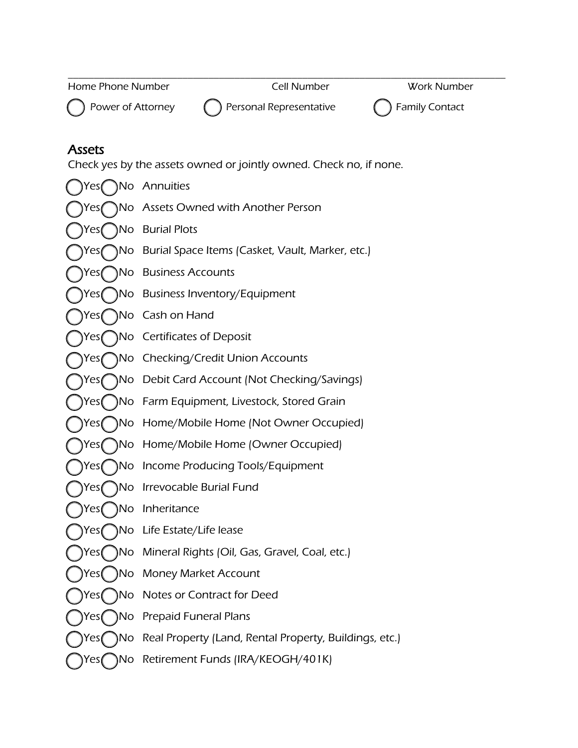| Home Phone Number | Cell Number | Work Number |
|-------------------|-------------|-------------|
|                   |             |             |





## Assets

Check yes by the assets owned or jointly owned. Check no, if none.

Yes ( ) No Annuities Yes No Assets Owned with Another Person Yes No Burial Plots [ ] Yes [ ] No Burial Space Items (Casket, Vault, Marker, etc.) Yes ( ) No Business Accounts Yes ( ) No Business Inventory/Equipment Yes ( ) No Cash on Hand Yes No Certificates of Deposit Yes No Checking/Credit Union Accounts Yes No Debit Card Account (Not Checking/Savings) Yes() No Farm Equipment, Livestock, Stored Grain Yes ( ) No Home/Mobile Home (Not Owner Occupied) Yes No Home/Mobile Home (Owner Occupied) [ ] Yes [ ] No Income Producing Tools/Equipment [ ] Yes [ ] No Irrevocable Burial Fund Yes( )No Inheritance [ ] Yes [ ] No Life Estate/Life lease Yes ( ) No Mineral Rights (Oil, Gas, Gravel, Coal, etc.) Yes( )No Money Market Account Yes ( ) No Notes or Contract for Deed Yes ( ) No Prepaid Funeral Plans [ ] Yes [ ] No Real Property (Land, Rental Property, Buildings, etc.) Yes No Retirement Funds (IRA/KEOGH/401K)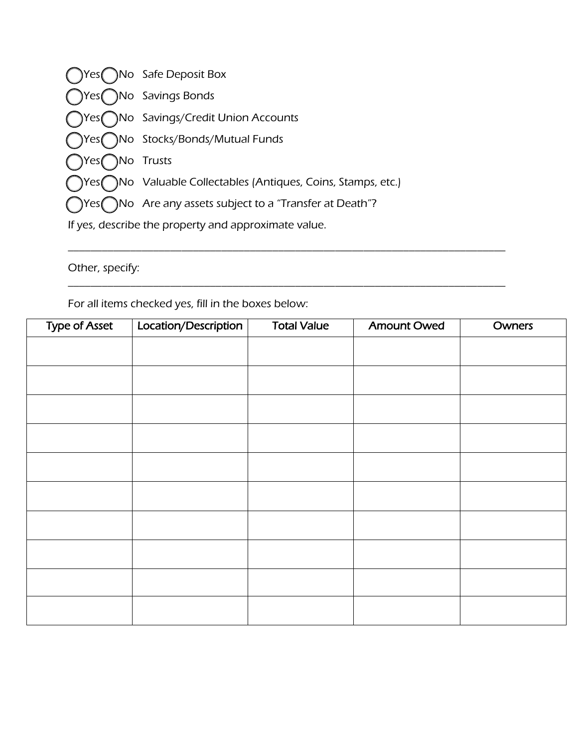${\rm Yes}$  No Safe Deposit Box [ ] Yes [ ] No Savings Bonds Yes ( ) No Savings/Credit Union Accounts [ ] Yes [ ] No Stocks/Bonds/Mutual Funds  ${\rm Yes}$  No Trusts [ ] Yes [ ] No Valuable Collectables (Antiques, Coins, Stamps, etc.)  $[$  Yes $[$  No Are any assets subject to a "Transfer at Death"? If yes, describe the property and approximate value.

Other, specify:

For all items checked yes, fill in the boxes below:

| <b>Type of Asset</b> | Location/Description | <b>Total Value</b> | <b>Amount Owed</b> | Owners |
|----------------------|----------------------|--------------------|--------------------|--------|
|                      |                      |                    |                    |        |
|                      |                      |                    |                    |        |
|                      |                      |                    |                    |        |
|                      |                      |                    |                    |        |
|                      |                      |                    |                    |        |
|                      |                      |                    |                    |        |
|                      |                      |                    |                    |        |
|                      |                      |                    |                    |        |
|                      |                      |                    |                    |        |
|                      |                      |                    |                    |        |
|                      |                      |                    |                    |        |

\_\_\_\_\_\_\_\_\_\_\_\_\_\_\_\_\_\_\_\_\_\_\_\_\_\_\_\_\_\_\_\_\_\_\_\_\_\_\_\_\_\_\_\_\_\_\_\_\_\_\_\_\_\_\_\_\_\_\_\_\_\_\_\_\_\_\_\_\_\_\_\_\_\_\_\_\_

\_\_\_\_\_\_\_\_\_\_\_\_\_\_\_\_\_\_\_\_\_\_\_\_\_\_\_\_\_\_\_\_\_\_\_\_\_\_\_\_\_\_\_\_\_\_\_\_\_\_\_\_\_\_\_\_\_\_\_\_\_\_\_\_\_\_\_\_\_\_\_\_\_\_\_\_\_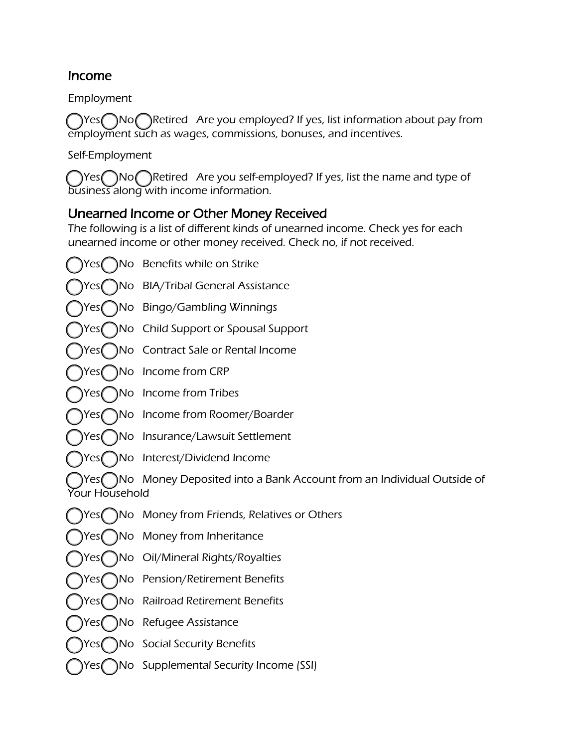#### Income

Employment

Thes Nongletived Are you employed? If yes, list information about pay from employment such as wages, commissions, bonuses, and incentives.

Self-Employment

Thes No Retired Are you self-employed? If yes, list the name and type of business along with income information.

## Unearned Income or Other Money Received

The following is a list of different kinds of unearned income. Check yes for each unearned income or other money received. Check no, if not received.

Yes ( ) No Benefits while on Strike [ ] Yes [ ] No BIA/Tribal General Assistance Yes ( ) No Bingo/Gambling Winnings Yes No Child Support or Spousal Support [ ] Yes [ ] No Contract Sale or Rental Income [ ] Yes [ ] No Income from CRP Yes ( ) No Income from Tribes Yes ( ) No Income from Roomer/Boarder Yes ( ) No Insurance/Lawsuit Settlement Yes ( ) No Interest/Dividend Income  $[Yes$   $])$ No Money Deposited into a Bank Account from an Individual Outside of Your Household [ ] Yes [ ] No Money from Friends, Relatives or Others [ ] Yes [ ] No Money from Inheritance Yes No Oil/Mineral Rights/Royalties Yes ( ) No Pension/Retirement Benefits Yes ( ) No Railroad Retirement Benefits Yes ( ) No Refugee Assistance Yes ( ) No Social Security Benefits Yes No Supplemental Security Income (SSI)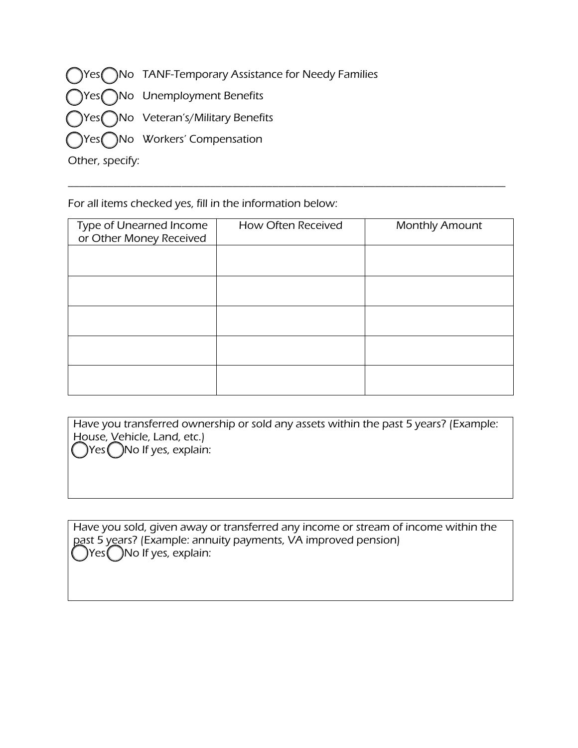|                 | (Nes ONo TANF-Temporary Assistance for Needy Families |
|-----------------|-------------------------------------------------------|
|                 | ◯Yes◯No Unemployment Benefits                         |
|                 | ◯Yes◯No Veteran's/Military Benefits                   |
|                 | ◯Yes◯No Workers' Compensation                         |
| Other, specify: |                                                       |

For all items checked yes, fill in the information below:

| Type of Unearned Income<br>or Other Money Received | How Often Received | <b>Monthly Amount</b> |
|----------------------------------------------------|--------------------|-----------------------|
|                                                    |                    |                       |
|                                                    |                    |                       |
|                                                    |                    |                       |
|                                                    |                    |                       |
|                                                    |                    |                       |

\_\_\_\_\_\_\_\_\_\_\_\_\_\_\_\_\_\_\_\_\_\_\_\_\_\_\_\_\_\_\_\_\_\_\_\_\_\_\_\_\_\_\_\_\_\_\_\_\_\_\_\_\_\_\_\_\_\_\_\_\_\_\_\_\_\_\_\_\_\_\_\_\_\_\_\_\_

| Have you transferred ownership or sold any assets within the past 5 years? (Example: |
|--------------------------------------------------------------------------------------|
| House, Vehicle, Land, etc.)                                                          |
| $\bigcirc$ Yes $\bigcirc$ No If yes, explain:                                        |

Have you sold, given away or transferred any income or stream of income within the past 5 years? (Example: annuity payments, VA improved pension) [ ] Yes [ ] No If yes, explain: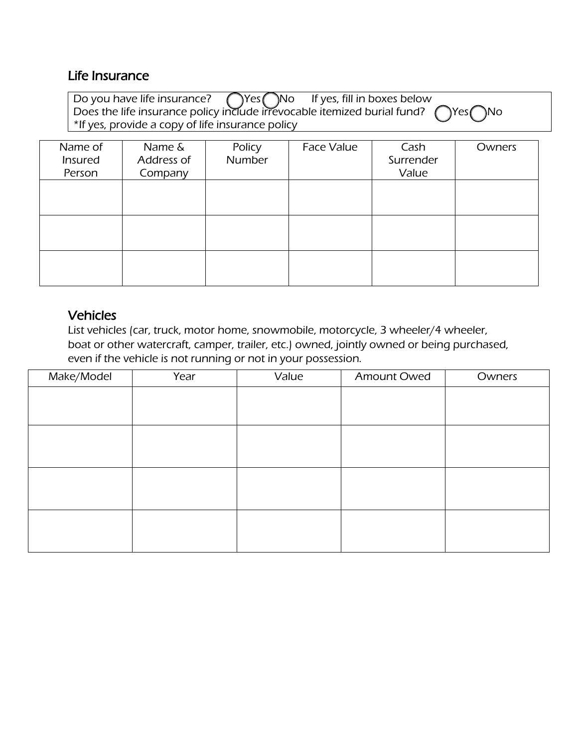#### Life Insurance

| Do you have life insurance? $\bigcirc$ Yes $\bigcirc$ No If yes, fill in boxes below<br>Does the life insurance policy include irrevocable itemized burial fund? $\bigcirc$ Yes $\bigcirc$ No |  |
|-----------------------------------------------------------------------------------------------------------------------------------------------------------------------------------------------|--|
|                                                                                                                                                                                               |  |
| *If yes, provide a copy of life insurance policy                                                                                                                                              |  |

| Name of<br>Insured<br>Person | Name &<br>Address of<br>Company | Policy<br>Number | <b>Face Value</b> | Cash<br>Surrender<br>Value | Owners |
|------------------------------|---------------------------------|------------------|-------------------|----------------------------|--------|
|                              |                                 |                  |                   |                            |        |
|                              |                                 |                  |                   |                            |        |
|                              |                                 |                  |                   |                            |        |

## Vehicles

List vehicles (car, truck, motor home, snowmobile, motorcycle, 3 wheeler/4 wheeler, boat or other watercraft, camper, trailer, etc.) owned, jointly owned or being purchased, even if the vehicle is not running or not in your possession.

| Make/Model | Year | Value | Amount Owed | Owners |
|------------|------|-------|-------------|--------|
|            |      |       |             |        |
|            |      |       |             |        |
|            |      |       |             |        |
|            |      |       |             |        |
|            |      |       |             |        |
|            |      |       |             |        |
|            |      |       |             |        |
|            |      |       |             |        |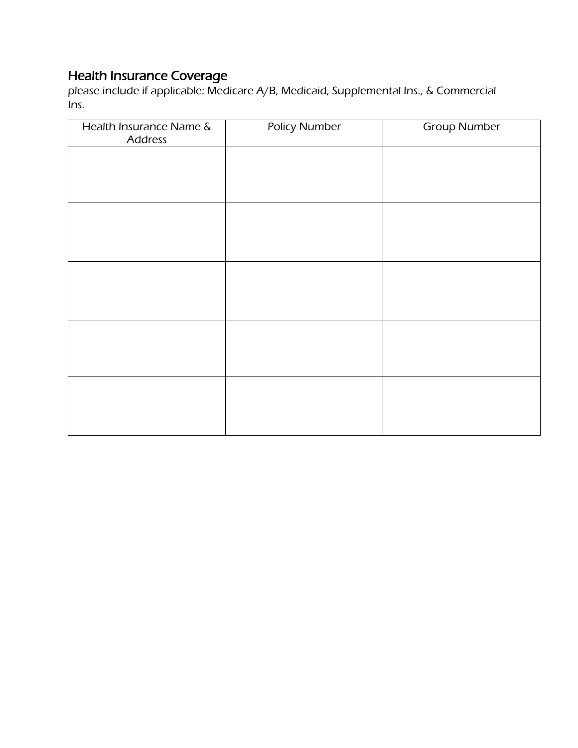#### Health Insurance Coverage

please include if applicable: Medicare A/B, Medicaid, Supplemental Ins., & Commercial Ins.

| Health Insurance Name &<br>Address | <b>Policy Number</b> | <b>Group Number</b> |
|------------------------------------|----------------------|---------------------|
|                                    |                      |                     |
|                                    |                      |                     |
|                                    |                      |                     |
|                                    |                      |                     |
|                                    |                      |                     |
|                                    |                      |                     |
|                                    |                      |                     |
|                                    |                      |                     |
|                                    |                      |                     |
|                                    |                      |                     |